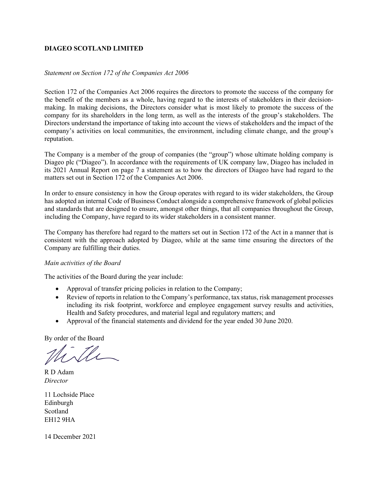## **DIAGEO SCOTLAND LIMITED**

## *Statement on Section 172 of the Companies Act 2006*

Section 172 of the Companies Act 2006 requires the directors to promote the success of the company for the benefit of the members as a whole, having regard to the interests of stakeholders in their decisionmaking. In making decisions, the Directors consider what is most likely to promote the success of the company for its shareholders in the long term, as well as the interests of the group's stakeholders. The Directors understand the importance of taking into account the views of stakeholders and the impact of the company's activities on local communities, the environment, including climate change, and the group's reputation.

The Company is a member of the group of companies (the "group") whose ultimate holding company is Diageo plc ("Diageo"). In accordance with the requirements of UK company law, Diageo has included in its 2021 Annual Report on page 7 a statement as to how the directors of Diageo have had regard to the matters set out in Section 172 of the Companies Act 2006.

In order to ensure consistency in how the Group operates with regard to its wider stakeholders, the Group has adopted an internal Code of Business Conduct alongside a comprehensive framework of global policies and standards that are designed to ensure, amongst other things, that all companies throughout the Group, including the Company, have regard to its wider stakeholders in a consistent manner.

The Company has therefore had regard to the matters set out in Section 172 of the Act in a manner that is consistent with the approach adopted by Diageo, while at the same time ensuring the directors of the Company are fulfilling their duties.

## *Main activities of the Board*

The activities of the Board during the year include:

- Approval of transfer pricing policies in relation to the Company;
- Review of reports in relation to the Company's performance, tax status, risk management processes including its risk footprint, workforce and employee engagement survey results and activities, Health and Safety procedures, and material legal and regulatory matters; and
- Approval of the financial statements and dividend for the year ended 30 June 2020.

By order of the Board

R D Adam *Director*

11 Lochside Place Edinburgh Scotland EH12 9HA

14 December 2021